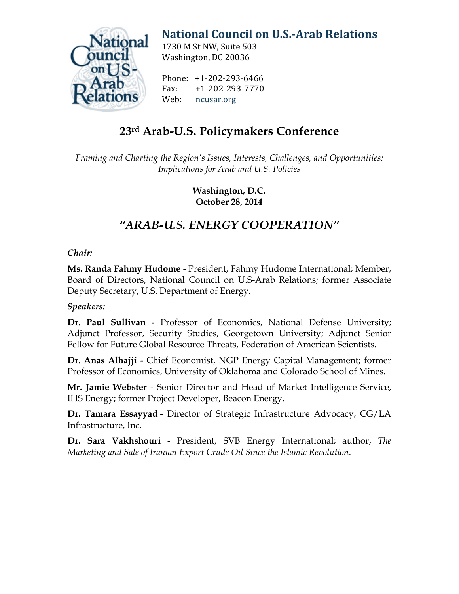

# **[National Council on U.S.-Arab Relations](http://ncusar.org/)**

1730 M St NW, Suite 503 Washington, DC 20036

Phone: +1-202-293-6466<br>Fax: +1-202-293-7770 Fax: +1-202-293-7770 [ncusar.org](http://ncusar.org/)

## **23rd Arab-U.S. Policymakers Conference**

*Framing and Charting the Region's Issues, Interests, Challenges, and Opportunities: Implications for Arab and U.S. Policies*

> **Washington, D.C. October 28, 2014**

### *"ARAB-U.S. ENERGY COOPERATION"*

### *Chair:*

**Ms. Randa Fahmy Hudome** - President, Fahmy Hudome International; Member, Board of Directors, National Council on U.S-Arab Relations; former Associate Deputy Secretary, U.S. Department of Energy.

### *Speakers:*

**Dr. Paul Sullivan** - Professor of Economics, National Defense University; Adjunct Professor, Security Studies, Georgetown University; Adjunct Senior Fellow for Future Global Resource Threats, Federation of American Scientists.

**Dr. Anas Alhajji** - Chief Economist, NGP Energy Capital Management; former Professor of Economics, University of Oklahoma and Colorado School of Mines.

**Mr. Jamie Webster** - Senior Director and Head of Market Intelligence Service, IHS Energy; former Project Developer, Beacon Energy.

**Dr. Tamara Essayyad** - Director of Strategic Infrastructure Advocacy, CG/LA Infrastructure, Inc.

**Dr. Sara Vakhshouri** - President, SVB Energy International; author, *The Marketing and Sale of Iranian Export Crude Oil Since the Islamic Revolution*.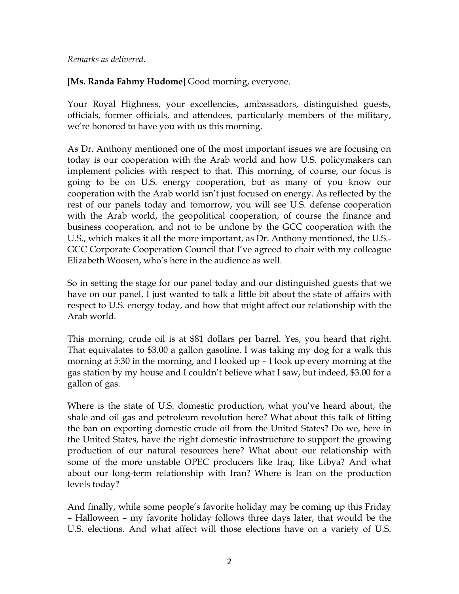#### *Remarks as delivered.*

**[Ms. Randa Fahmy Hudome]** Good morning, everyone.

Your Royal Highness, your excellencies, ambassadors, distinguished guests, officials, former officials, and attendees, particularly members of the military, we're honored to have you with us this morning.

As Dr. Anthony mentioned one of the most important issues we are focusing on today is our cooperation with the Arab world and how U.S. policymakers can implement policies with respect to that. This morning, of course, our focus is going to be on U.S. energy cooperation, but as many of you know our cooperation with the Arab world isn't just focused on energy. As reflected by the rest of our panels today and tomorrow, you will see U.S. defense cooperation with the Arab world, the geopolitical cooperation, of course the finance and business cooperation, and not to be undone by the GCC cooperation with the U.S., which makes it all the more important, as Dr. Anthony mentioned, the U.S.- GCC Corporate Cooperation Council that I've agreed to chair with my colleague Elizabeth Woosen, who's here in the audience as well.

So in setting the stage for our panel today and our distinguished guests that we have on our panel, I just wanted to talk a little bit about the state of affairs with respect to U.S. energy today, and how that might affect our relationship with the Arab world.

This morning, crude oil is at \$81 dollars per barrel. Yes, you heard that right. That equivalates to \$3.00 a gallon gasoline. I was taking my dog for a walk this morning at 5:30 in the morning, and I looked up – I look up every morning at the gas station by my house and I couldn't believe what I saw, but indeed, \$3.00 for a gallon of gas.

Where is the state of U.S. domestic production, what you've heard about, the shale and oil gas and petroleum revolution here? What about this talk of lifting the ban on exporting domestic crude oil from the United States? Do we, here in the United States, have the right domestic infrastructure to support the growing production of our natural resources here? What about our relationship with some of the more unstable OPEC producers like Iraq, like Libya? And what about our long-term relationship with Iran? Where is Iran on the production levels today?

And finally, while some people's favorite holiday may be coming up this Friday – Halloween – my favorite holiday follows three days later, that would be the U.S. elections. And what affect will those elections have on a variety of U.S.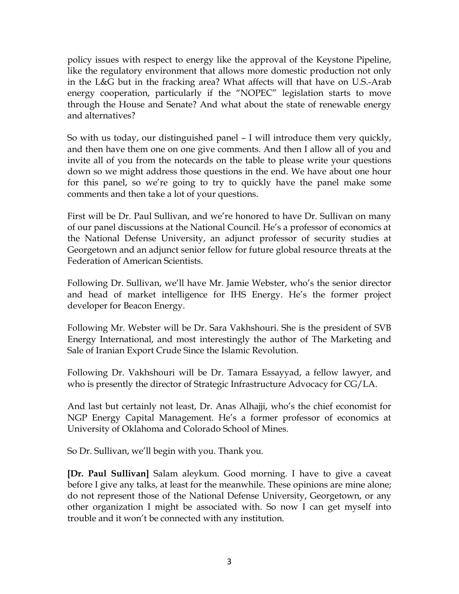policy issues with respect to energy like the approval of the Keystone Pipeline, like the regulatory environment that allows more domestic production not only in the L&G but in the fracking area? What affects will that have on U.S.-Arab energy cooperation, particularly if the "NOPEC" legislation starts to move through the House and Senate? And what about the state of renewable energy and alternatives?

So with us today, our distinguished panel – I will introduce them very quickly, and then have them one on one give comments. And then I allow all of you and invite all of you from the notecards on the table to please write your questions down so we might address those questions in the end. We have about one hour for this panel, so we're going to try to quickly have the panel make some comments and then take a lot of your questions.

First will be Dr. Paul Sullivan, and we're honored to have Dr. Sullivan on many of our panel discussions at the National Council. He's a professor of economics at the National Defense University, an adjunct professor of security studies at Georgetown and an adjunct senior fellow for future global resource threats at the Federation of American Scientists.

Following Dr. Sullivan, we'll have Mr. Jamie Webster, who's the senior director and head of market intelligence for IHS Energy. He's the former project developer for Beacon Energy.

Following Mr. Webster will be Dr. Sara Vakhshouri. She is the president of SVB Energy International, and most interestingly the author of The Marketing and Sale of Iranian Export Crude Since the Islamic Revolution.

Following Dr. Vakhshouri will be Dr. Tamara Essayyad, a fellow lawyer, and who is presently the director of Strategic Infrastructure Advocacy for CG/LA.

And last but certainly not least, Dr. Anas Alhajji, who's the chief economist for NGP Energy Capital Management. He's a former professor of economics at University of Oklahoma and Colorado School of Mines.

So Dr. Sullivan, we'll begin with you. Thank you.

**[Dr. Paul Sullivan]** Salam aleykum. Good morning. I have to give a caveat before I give any talks, at least for the meanwhile. These opinions are mine alone; do not represent those of the National Defense University, Georgetown, or any other organization I might be associated with. So now I can get myself into trouble and it won't be connected with any institution.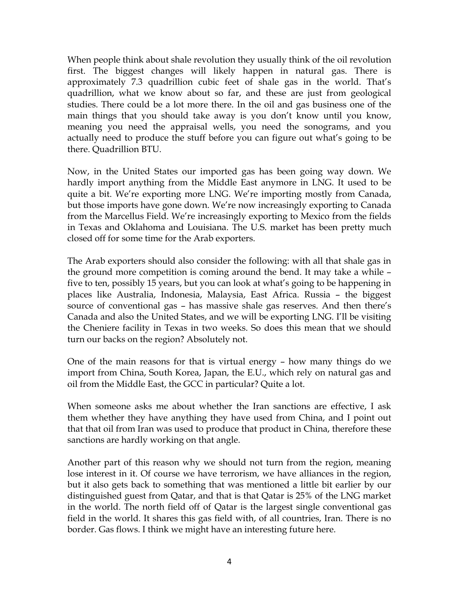When people think about shale revolution they usually think of the oil revolution first. The biggest changes will likely happen in natural gas. There is approximately 7.3 quadrillion cubic feet of shale gas in the world. That's quadrillion, what we know about so far, and these are just from geological studies. There could be a lot more there. In the oil and gas business one of the main things that you should take away is you don't know until you know, meaning you need the appraisal wells, you need the sonograms, and you actually need to produce the stuff before you can figure out what's going to be there. Quadrillion BTU.

Now, in the United States our imported gas has been going way down. We hardly import anything from the Middle East anymore in LNG. It used to be quite a bit. We're exporting more LNG. We're importing mostly from Canada, but those imports have gone down. We're now increasingly exporting to Canada from the Marcellus Field. We're increasingly exporting to Mexico from the fields in Texas and Oklahoma and Louisiana. The U.S. market has been pretty much closed off for some time for the Arab exporters.

The Arab exporters should also consider the following: with all that shale gas in the ground more competition is coming around the bend. It may take a while – five to ten, possibly 15 years, but you can look at what's going to be happening in places like Australia, Indonesia, Malaysia, East Africa. Russia – the biggest source of conventional gas – has massive shale gas reserves. And then there's Canada and also the United States, and we will be exporting LNG. I'll be visiting the Cheniere facility in Texas in two weeks. So does this mean that we should turn our backs on the region? Absolutely not.

One of the main reasons for that is virtual energy – how many things do we import from China, South Korea, Japan, the E.U., which rely on natural gas and oil from the Middle East, the GCC in particular? Quite a lot.

When someone asks me about whether the Iran sanctions are effective, I ask them whether they have anything they have used from China, and I point out that that oil from Iran was used to produce that product in China, therefore these sanctions are hardly working on that angle.

Another part of this reason why we should not turn from the region, meaning lose interest in it. Of course we have terrorism, we have alliances in the region, but it also gets back to something that was mentioned a little bit earlier by our distinguished guest from Qatar, and that is that Qatar is 25% of the LNG market in the world. The north field off of Qatar is the largest single conventional gas field in the world. It shares this gas field with, of all countries, Iran. There is no border. Gas flows. I think we might have an interesting future here.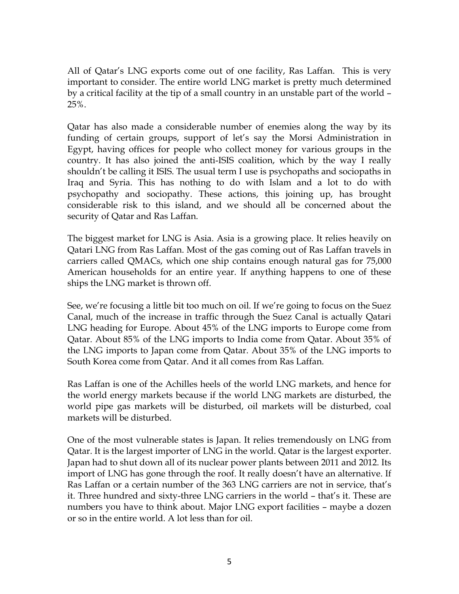All of Qatar's LNG exports come out of one facility, Ras Laffan. This is very important to consider. The entire world LNG market is pretty much determined by a critical facility at the tip of a small country in an unstable part of the world – 25%.

Qatar has also made a considerable number of enemies along the way by its funding of certain groups, support of let's say the Morsi Administration in Egypt, having offices for people who collect money for various groups in the country. It has also joined the anti-ISIS coalition, which by the way I really shouldn't be calling it ISIS. The usual term I use is psychopaths and sociopaths in Iraq and Syria. This has nothing to do with Islam and a lot to do with psychopathy and sociopathy. These actions, this joining up, has brought considerable risk to this island, and we should all be concerned about the security of Qatar and Ras Laffan.

The biggest market for LNG is Asia. Asia is a growing place. It relies heavily on Qatari LNG from Ras Laffan. Most of the gas coming out of Ras Laffan travels in carriers called QMACs, which one ship contains enough natural gas for 75,000 American households for an entire year. If anything happens to one of these ships the LNG market is thrown off.

See, we're focusing a little bit too much on oil. If we're going to focus on the Suez Canal, much of the increase in traffic through the Suez Canal is actually Qatari LNG heading for Europe. About 45% of the LNG imports to Europe come from Qatar. About 85% of the LNG imports to India come from Qatar. About 35% of the LNG imports to Japan come from Qatar. About 35% of the LNG imports to South Korea come from Qatar. And it all comes from Ras Laffan.

Ras Laffan is one of the Achilles heels of the world LNG markets, and hence for the world energy markets because if the world LNG markets are disturbed, the world pipe gas markets will be disturbed, oil markets will be disturbed, coal markets will be disturbed.

One of the most vulnerable states is Japan. It relies tremendously on LNG from Qatar. It is the largest importer of LNG in the world. Qatar is the largest exporter. Japan had to shut down all of its nuclear power plants between 2011 and 2012. Its import of LNG has gone through the roof. It really doesn't have an alternative. If Ras Laffan or a certain number of the 363 LNG carriers are not in service, that's it. Three hundred and sixty-three LNG carriers in the world – that's it. These are numbers you have to think about. Major LNG export facilities – maybe a dozen or so in the entire world. A lot less than for oil.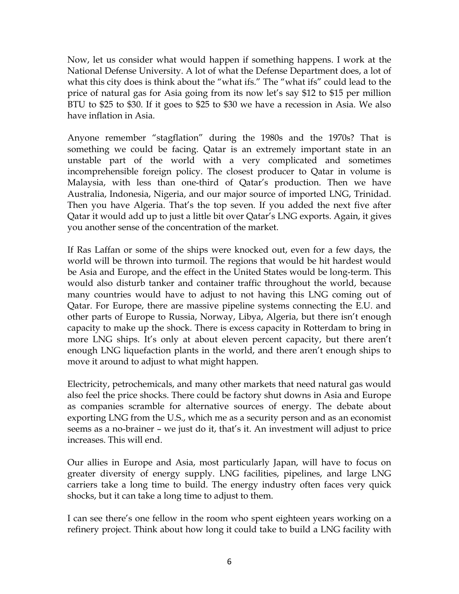Now, let us consider what would happen if something happens. I work at the National Defense University. A lot of what the Defense Department does, a lot of what this city does is think about the "what ifs." The "what ifs" could lead to the price of natural gas for Asia going from its now let's say \$12 to \$15 per million BTU to \$25 to \$30. If it goes to \$25 to \$30 we have a recession in Asia. We also have inflation in Asia.

Anyone remember "stagflation" during the 1980s and the 1970s? That is something we could be facing. Qatar is an extremely important state in an unstable part of the world with a very complicated and sometimes incomprehensible foreign policy. The closest producer to Qatar in volume is Malaysia, with less than one-third of Qatar's production. Then we have Australia, Indonesia, Nigeria, and our major source of imported LNG, Trinidad. Then you have Algeria. That's the top seven. If you added the next five after Qatar it would add up to just a little bit over Qatar's LNG exports. Again, it gives you another sense of the concentration of the market.

If Ras Laffan or some of the ships were knocked out, even for a few days, the world will be thrown into turmoil. The regions that would be hit hardest would be Asia and Europe, and the effect in the United States would be long-term. This would also disturb tanker and container traffic throughout the world, because many countries would have to adjust to not having this LNG coming out of Qatar. For Europe, there are massive pipeline systems connecting the E.U. and other parts of Europe to Russia, Norway, Libya, Algeria, but there isn't enough capacity to make up the shock. There is excess capacity in Rotterdam to bring in more LNG ships. It's only at about eleven percent capacity, but there aren't enough LNG liquefaction plants in the world, and there aren't enough ships to move it around to adjust to what might happen.

Electricity, petrochemicals, and many other markets that need natural gas would also feel the price shocks. There could be factory shut downs in Asia and Europe as companies scramble for alternative sources of energy. The debate about exporting LNG from the U.S., which me as a security person and as an economist seems as a no-brainer – we just do it, that's it. An investment will adjust to price increases. This will end.

Our allies in Europe and Asia, most particularly Japan, will have to focus on greater diversity of energy supply. LNG facilities, pipelines, and large LNG carriers take a long time to build. The energy industry often faces very quick shocks, but it can take a long time to adjust to them.

I can see there's one fellow in the room who spent eighteen years working on a refinery project. Think about how long it could take to build a LNG facility with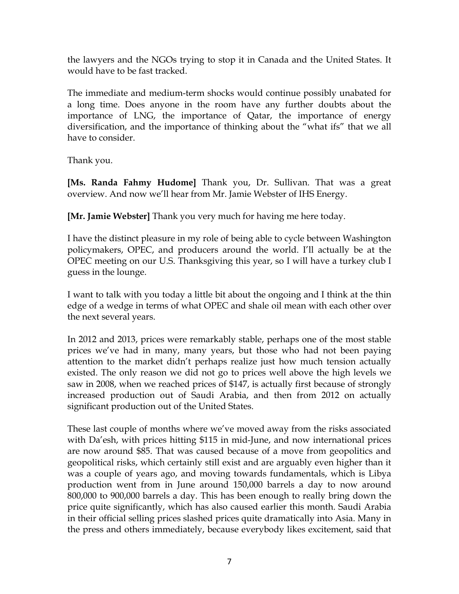the lawyers and the NGOs trying to stop it in Canada and the United States. It would have to be fast tracked.

The immediate and medium-term shocks would continue possibly unabated for a long time. Does anyone in the room have any further doubts about the importance of LNG, the importance of Qatar, the importance of energy diversification, and the importance of thinking about the "what ifs" that we all have to consider.

Thank you.

**[Ms. Randa Fahmy Hudome]** Thank you, Dr. Sullivan. That was a great overview. And now we'll hear from Mr. Jamie Webster of IHS Energy.

**[Mr. Jamie Webster]** Thank you very much for having me here today.

I have the distinct pleasure in my role of being able to cycle between Washington policymakers, OPEC, and producers around the world. I'll actually be at the OPEC meeting on our U.S. Thanksgiving this year, so I will have a turkey club I guess in the lounge.

I want to talk with you today a little bit about the ongoing and I think at the thin edge of a wedge in terms of what OPEC and shale oil mean with each other over the next several years.

In 2012 and 2013, prices were remarkably stable, perhaps one of the most stable prices we've had in many, many years, but those who had not been paying attention to the market didn't perhaps realize just how much tension actually existed. The only reason we did not go to prices well above the high levels we saw in 2008, when we reached prices of \$147, is actually first because of strongly increased production out of Saudi Arabia, and then from 2012 on actually significant production out of the United States.

These last couple of months where we've moved away from the risks associated with Da'esh, with prices hitting \$115 in mid-June, and now international prices are now around \$85. That was caused because of a move from geopolitics and geopolitical risks, which certainly still exist and are arguably even higher than it was a couple of years ago, and moving towards fundamentals, which is Libya production went from in June around 150,000 barrels a day to now around 800,000 to 900,000 barrels a day. This has been enough to really bring down the price quite significantly, which has also caused earlier this month. Saudi Arabia in their official selling prices slashed prices quite dramatically into Asia. Many in the press and others immediately, because everybody likes excitement, said that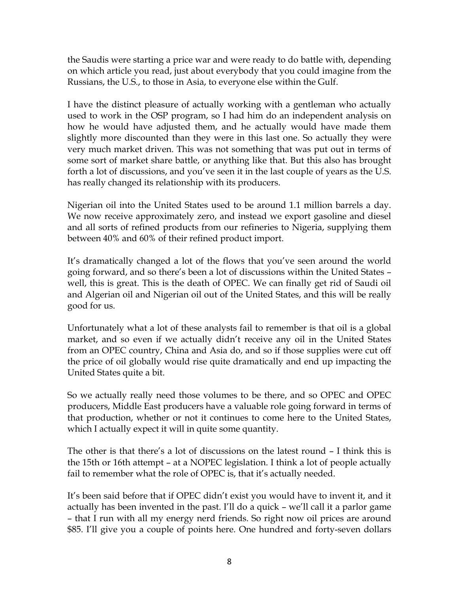the Saudis were starting a price war and were ready to do battle with, depending on which article you read, just about everybody that you could imagine from the Russians, the U.S., to those in Asia, to everyone else within the Gulf.

I have the distinct pleasure of actually working with a gentleman who actually used to work in the OSP program, so I had him do an independent analysis on how he would have adjusted them, and he actually would have made them slightly more discounted than they were in this last one. So actually they were very much market driven. This was not something that was put out in terms of some sort of market share battle, or anything like that. But this also has brought forth a lot of discussions, and you've seen it in the last couple of years as the U.S. has really changed its relationship with its producers.

Nigerian oil into the United States used to be around 1.1 million barrels a day. We now receive approximately zero, and instead we export gasoline and diesel and all sorts of refined products from our refineries to Nigeria, supplying them between 40% and 60% of their refined product import.

It's dramatically changed a lot of the flows that you've seen around the world going forward, and so there's been a lot of discussions within the United States – well, this is great. This is the death of OPEC. We can finally get rid of Saudi oil and Algerian oil and Nigerian oil out of the United States, and this will be really good for us.

Unfortunately what a lot of these analysts fail to remember is that oil is a global market, and so even if we actually didn't receive any oil in the United States from an OPEC country, China and Asia do, and so if those supplies were cut off the price of oil globally would rise quite dramatically and end up impacting the United States quite a bit.

So we actually really need those volumes to be there, and so OPEC and OPEC producers, Middle East producers have a valuable role going forward in terms of that production, whether or not it continues to come here to the United States, which I actually expect it will in quite some quantity.

The other is that there's a lot of discussions on the latest round – I think this is the 15th or 16th attempt – at a NOPEC legislation. I think a lot of people actually fail to remember what the role of OPEC is, that it's actually needed.

It's been said before that if OPEC didn't exist you would have to invent it, and it actually has been invented in the past. I'll do a quick – we'll call it a parlor game – that I run with all my energy nerd friends. So right now oil prices are around \$85. I'll give you a couple of points here. One hundred and forty-seven dollars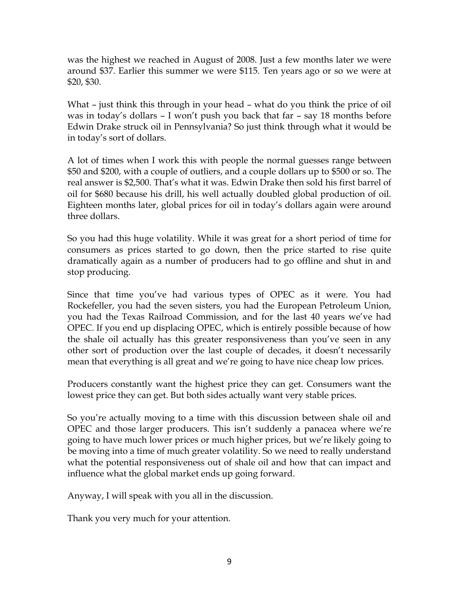was the highest we reached in August of 2008. Just a few months later we were around \$37. Earlier this summer we were \$115. Ten years ago or so we were at \$20, \$30.

What – just think this through in your head – what do you think the price of oil was in today's dollars – I won't push you back that far – say 18 months before Edwin Drake struck oil in Pennsylvania? So just think through what it would be in today's sort of dollars.

A lot of times when I work this with people the normal guesses range between \$50 and \$200, with a couple of outliers, and a couple dollars up to \$500 or so. The real answer is \$2,500. That's what it was. Edwin Drake then sold his first barrel of oil for \$680 because his drill, his well actually doubled global production of oil. Eighteen months later, global prices for oil in today's dollars again were around three dollars.

So you had this huge volatility. While it was great for a short period of time for consumers as prices started to go down, then the price started to rise quite dramatically again as a number of producers had to go offline and shut in and stop producing.

Since that time you've had various types of OPEC as it were. You had Rockefeller, you had the seven sisters, you had the European Petroleum Union, you had the Texas Railroad Commission, and for the last 40 years we've had OPEC. If you end up displacing OPEC, which is entirely possible because of how the shale oil actually has this greater responsiveness than you've seen in any other sort of production over the last couple of decades, it doesn't necessarily mean that everything is all great and we're going to have nice cheap low prices.

Producers constantly want the highest price they can get. Consumers want the lowest price they can get. But both sides actually want very stable prices.

So you're actually moving to a time with this discussion between shale oil and OPEC and those larger producers. This isn't suddenly a panacea where we're going to have much lower prices or much higher prices, but we're likely going to be moving into a time of much greater volatility. So we need to really understand what the potential responsiveness out of shale oil and how that can impact and influence what the global market ends up going forward.

Anyway, I will speak with you all in the discussion.

Thank you very much for your attention.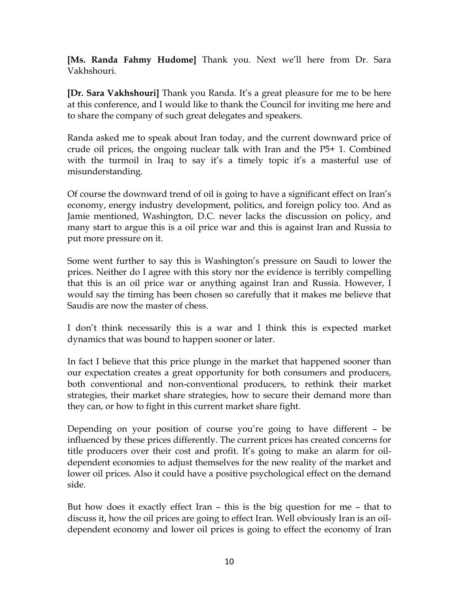**[Ms. Randa Fahmy Hudome]** Thank you. Next we'll here from Dr. Sara Vakhshouri.

**[Dr. Sara Vakhshouri]** Thank you Randa. It's a great pleasure for me to be here at this conference, and I would like to thank the Council for inviting me here and to share the company of such great delegates and speakers.

Randa asked me to speak about Iran today, and the current downward price of crude oil prices, the ongoing nuclear talk with Iran and the P5+ 1. Combined with the turmoil in Iraq to say it's a timely topic it's a masterful use of misunderstanding.

Of course the downward trend of oil is going to have a significant effect on Iran's economy, energy industry development, politics, and foreign policy too. And as Jamie mentioned, Washington, D.C. never lacks the discussion on policy, and many start to argue this is a oil price war and this is against Iran and Russia to put more pressure on it.

Some went further to say this is Washington's pressure on Saudi to lower the prices. Neither do I agree with this story nor the evidence is terribly compelling that this is an oil price war or anything against Iran and Russia. However, I would say the timing has been chosen so carefully that it makes me believe that Saudis are now the master of chess.

I don't think necessarily this is a war and I think this is expected market dynamics that was bound to happen sooner or later.

In fact I believe that this price plunge in the market that happened sooner than our expectation creates a great opportunity for both consumers and producers, both conventional and non-conventional producers, to rethink their market strategies, their market share strategies, how to secure their demand more than they can, or how to fight in this current market share fight.

Depending on your position of course you're going to have different – be influenced by these prices differently. The current prices has created concerns for title producers over their cost and profit. It's going to make an alarm for oildependent economies to adjust themselves for the new reality of the market and lower oil prices. Also it could have a positive psychological effect on the demand side.

But how does it exactly effect Iran – this is the big question for me – that to discuss it, how the oil prices are going to effect Iran. Well obviously Iran is an oildependent economy and lower oil prices is going to effect the economy of Iran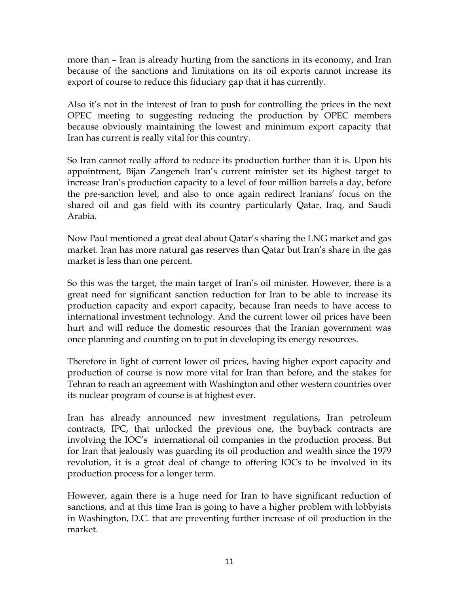more than – Iran is already hurting from the sanctions in its economy, and Iran because of the sanctions and limitations on its oil exports cannot increase its export of course to reduce this fiduciary gap that it has currently.

Also it's not in the interest of Iran to push for controlling the prices in the next OPEC meeting to suggesting reducing the production by OPEC members because obviously maintaining the lowest and minimum export capacity that Iran has current is really vital for this country.

So Iran cannot really afford to reduce its production further than it is. Upon his appointment, Bijan Zangeneh Iran's current minister set its highest target to increase Iran's production capacity to a level of four million barrels a day, before the pre-sanction level, and also to once again redirect Iranians' focus on the shared oil and gas field with its country particularly Qatar, Iraq, and Saudi Arabia.

Now Paul mentioned a great deal about Qatar's sharing the LNG market and gas market. Iran has more natural gas reserves than Qatar but Iran's share in the gas market is less than one percent.

So this was the target, the main target of Iran's oil minister. However, there is a great need for significant sanction reduction for Iran to be able to increase its production capacity and export capacity, because Iran needs to have access to international investment technology. And the current lower oil prices have been hurt and will reduce the domestic resources that the Iranian government was once planning and counting on to put in developing its energy resources.

Therefore in light of current lower oil prices, having higher export capacity and production of course is now more vital for Iran than before, and the stakes for Tehran to reach an agreement with Washington and other western countries over its nuclear program of course is at highest ever.

Iran has already announced new investment regulations, Iran petroleum contracts, IPC, that unlocked the previous one, the buyback contracts are involving the IOC's international oil companies in the production process. But for Iran that jealously was guarding its oil production and wealth since the 1979 revolution, it is a great deal of change to offering IOCs to be involved in its production process for a longer term.

However, again there is a huge need for Iran to have significant reduction of sanctions, and at this time Iran is going to have a higher problem with lobbyists in Washington, D.C. that are preventing further increase of oil production in the market.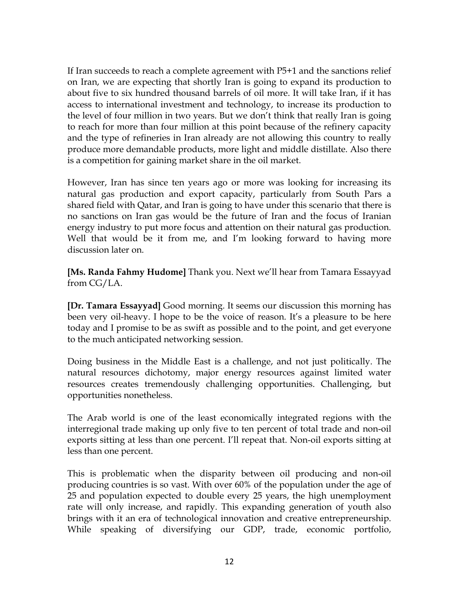If Iran succeeds to reach a complete agreement with P5+1 and the sanctions relief on Iran, we are expecting that shortly Iran is going to expand its production to about five to six hundred thousand barrels of oil more. It will take Iran, if it has access to international investment and technology, to increase its production to the level of four million in two years. But we don't think that really Iran is going to reach for more than four million at this point because of the refinery capacity and the type of refineries in Iran already are not allowing this country to really produce more demandable products, more light and middle distillate. Also there is a competition for gaining market share in the oil market.

However, Iran has since ten years ago or more was looking for increasing its natural gas production and export capacity, particularly from South Pars a shared field with Qatar, and Iran is going to have under this scenario that there is no sanctions on Iran gas would be the future of Iran and the focus of Iranian energy industry to put more focus and attention on their natural gas production. Well that would be it from me, and I'm looking forward to having more discussion later on.

**[Ms. Randa Fahmy Hudome]** Thank you. Next we'll hear from Tamara Essayyad from CG/LA.

**[Dr. Tamara Essayyad]** Good morning. It seems our discussion this morning has been very oil-heavy. I hope to be the voice of reason. It's a pleasure to be here today and I promise to be as swift as possible and to the point, and get everyone to the much anticipated networking session.

Doing business in the Middle East is a challenge, and not just politically. The natural resources dichotomy, major energy resources against limited water resources creates tremendously challenging opportunities. Challenging, but opportunities nonetheless.

The Arab world is one of the least economically integrated regions with the interregional trade making up only five to ten percent of total trade and non-oil exports sitting at less than one percent. I'll repeat that. Non-oil exports sitting at less than one percent.

This is problematic when the disparity between oil producing and non-oil producing countries is so vast. With over 60% of the population under the age of 25 and population expected to double every 25 years, the high unemployment rate will only increase, and rapidly. This expanding generation of youth also brings with it an era of technological innovation and creative entrepreneurship. While speaking of diversifying our GDP, trade, economic portfolio,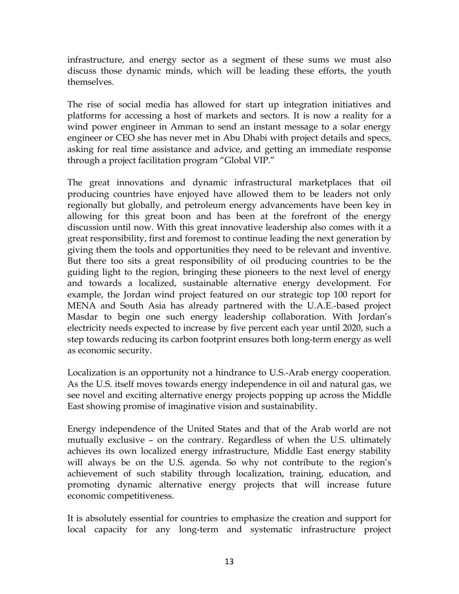infrastructure, and energy sector as a segment of these sums we must also discuss those dynamic minds, which will be leading these efforts, the youth themselves.

The rise of social media has allowed for start up integration initiatives and platforms for accessing a host of markets and sectors. It is now a reality for a wind power engineer in Amman to send an instant message to a solar energy engineer or CEO she has never met in Abu Dhabi with project details and specs, asking for real time assistance and advice, and getting an immediate response through a project facilitation program "Global VIP."

The great innovations and dynamic infrastructural marketplaces that oil producing countries have enjoyed have allowed them to be leaders not only regionally but globally, and petroleum energy advancements have been key in allowing for this great boon and has been at the forefront of the energy discussion until now. With this great innovative leadership also comes with it a great responsibility, first and foremost to continue leading the next generation by giving them the tools and opportunities they need to be relevant and inventive. But there too sits a great responsibility of oil producing countries to be the guiding light to the region, bringing these pioneers to the next level of energy and towards a localized, sustainable alternative energy development. For example, the Jordan wind project featured on our strategic top 100 report for MENA and South Asia has already partnered with the U.A.E.-based project Masdar to begin one such energy leadership collaboration. With Jordan's electricity needs expected to increase by five percent each year until 2020, such a step towards reducing its carbon footprint ensures both long-term energy as well as economic security.

Localization is an opportunity not a hindrance to U.S.-Arab energy cooperation. As the U.S. itself moves towards energy independence in oil and natural gas, we see novel and exciting alternative energy projects popping up across the Middle East showing promise of imaginative vision and sustainability.

Energy independence of the United States and that of the Arab world are not mutually exclusive – on the contrary. Regardless of when the U.S. ultimately achieves its own localized energy infrastructure, Middle East energy stability will always be on the U.S. agenda. So why not contribute to the region's achievement of such stability through localization, training, education, and promoting dynamic alternative energy projects that will increase future economic competitiveness.

It is absolutely essential for countries to emphasize the creation and support for local capacity for any long-term and systematic infrastructure project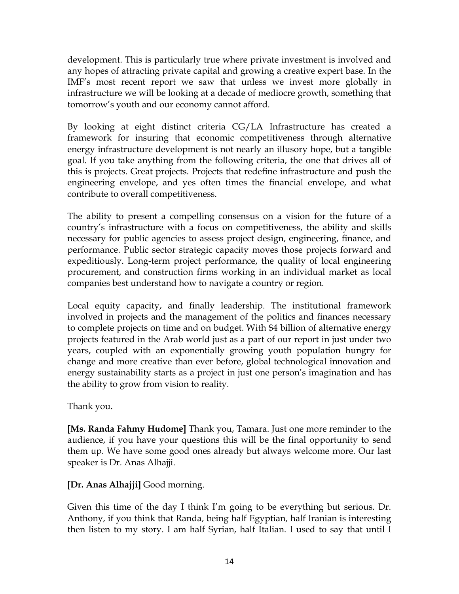development. This is particularly true where private investment is involved and any hopes of attracting private capital and growing a creative expert base. In the IMF's most recent report we saw that unless we invest more globally in infrastructure we will be looking at a decade of mediocre growth, something that tomorrow's youth and our economy cannot afford.

By looking at eight distinct criteria CG/LA Infrastructure has created a framework for insuring that economic competitiveness through alternative energy infrastructure development is not nearly an illusory hope, but a tangible goal. If you take anything from the following criteria, the one that drives all of this is projects. Great projects. Projects that redefine infrastructure and push the engineering envelope, and yes often times the financial envelope, and what contribute to overall competitiveness.

The ability to present a compelling consensus on a vision for the future of a country's infrastructure with a focus on competitiveness, the ability and skills necessary for public agencies to assess project design, engineering, finance, and performance. Public sector strategic capacity moves those projects forward and expeditiously. Long-term project performance, the quality of local engineering procurement, and construction firms working in an individual market as local companies best understand how to navigate a country or region.

Local equity capacity, and finally leadership. The institutional framework involved in projects and the management of the politics and finances necessary to complete projects on time and on budget. With \$4 billion of alternative energy projects featured in the Arab world just as a part of our report in just under two years, coupled with an exponentially growing youth population hungry for change and more creative than ever before, global technological innovation and energy sustainability starts as a project in just one person's imagination and has the ability to grow from vision to reality.

Thank you.

**[Ms. Randa Fahmy Hudome]** Thank you, Tamara. Just one more reminder to the audience, if you have your questions this will be the final opportunity to send them up. We have some good ones already but always welcome more. Our last speaker is Dr. Anas Alhajji.

### **[Dr. Anas Alhajji]** Good morning.

Given this time of the day I think I'm going to be everything but serious. Dr. Anthony, if you think that Randa, being half Egyptian, half Iranian is interesting then listen to my story. I am half Syrian, half Italian. I used to say that until I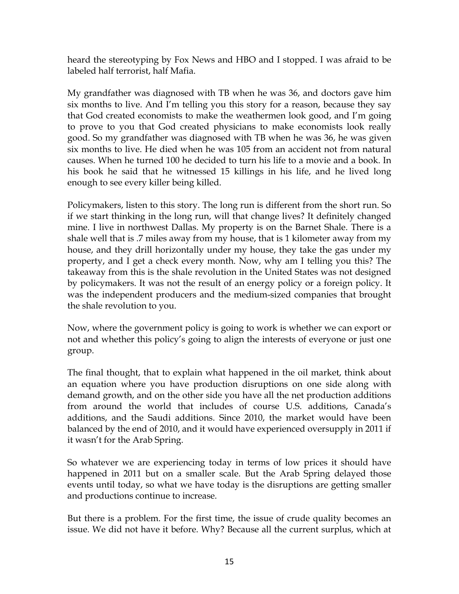heard the stereotyping by Fox News and HBO and I stopped. I was afraid to be labeled half terrorist, half Mafia.

My grandfather was diagnosed with TB when he was 36, and doctors gave him six months to live. And I'm telling you this story for a reason, because they say that God created economists to make the weathermen look good, and I'm going to prove to you that God created physicians to make economists look really good. So my grandfather was diagnosed with TB when he was 36, he was given six months to live. He died when he was 105 from an accident not from natural causes. When he turned 100 he decided to turn his life to a movie and a book. In his book he said that he witnessed 15 killings in his life, and he lived long enough to see every killer being killed.

Policymakers, listen to this story. The long run is different from the short run. So if we start thinking in the long run, will that change lives? It definitely changed mine. I live in northwest Dallas. My property is on the Barnet Shale. There is a shale well that is .7 miles away from my house, that is 1 kilometer away from my house, and they drill horizontally under my house, they take the gas under my property, and I get a check every month. Now, why am I telling you this? The takeaway from this is the shale revolution in the United States was not designed by policymakers. It was not the result of an energy policy or a foreign policy. It was the independent producers and the medium-sized companies that brought the shale revolution to you.

Now, where the government policy is going to work is whether we can export or not and whether this policy's going to align the interests of everyone or just one group.

The final thought, that to explain what happened in the oil market, think about an equation where you have production disruptions on one side along with demand growth, and on the other side you have all the net production additions from around the world that includes of course U.S. additions, Canada's additions, and the Saudi additions. Since 2010, the market would have been balanced by the end of 2010, and it would have experienced oversupply in 2011 if it wasn't for the Arab Spring.

So whatever we are experiencing today in terms of low prices it should have happened in 2011 but on a smaller scale. But the Arab Spring delayed those events until today, so what we have today is the disruptions are getting smaller and productions continue to increase.

But there is a problem. For the first time, the issue of crude quality becomes an issue. We did not have it before. Why? Because all the current surplus, which at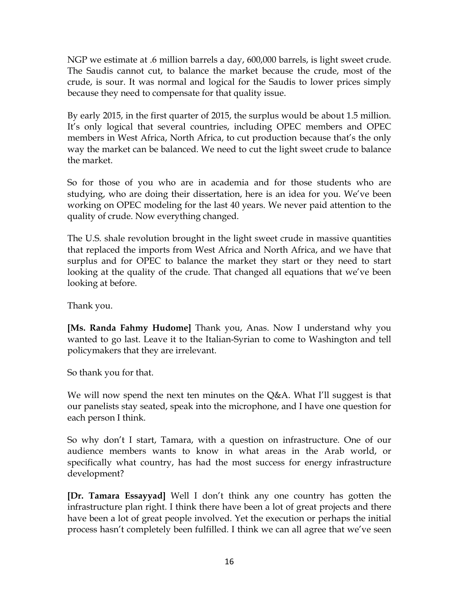NGP we estimate at .6 million barrels a day, 600,000 barrels, is light sweet crude. The Saudis cannot cut, to balance the market because the crude, most of the crude, is sour. It was normal and logical for the Saudis to lower prices simply because they need to compensate for that quality issue.

By early 2015, in the first quarter of 2015, the surplus would be about 1.5 million. It's only logical that several countries, including OPEC members and OPEC members in West Africa, North Africa, to cut production because that's the only way the market can be balanced. We need to cut the light sweet crude to balance the market.

So for those of you who are in academia and for those students who are studying, who are doing their dissertation, here is an idea for you. We've been working on OPEC modeling for the last 40 years. We never paid attention to the quality of crude. Now everything changed.

The U.S. shale revolution brought in the light sweet crude in massive quantities that replaced the imports from West Africa and North Africa, and we have that surplus and for OPEC to balance the market they start or they need to start looking at the quality of the crude. That changed all equations that we've been looking at before.

Thank you.

**[Ms. Randa Fahmy Hudome]** Thank you, Anas. Now I understand why you wanted to go last. Leave it to the Italian-Syrian to come to Washington and tell policymakers that they are irrelevant.

So thank you for that.

We will now spend the next ten minutes on the Q&A. What I'll suggest is that our panelists stay seated, speak into the microphone, and I have one question for each person I think.

So why don't I start, Tamara, with a question on infrastructure. One of our audience members wants to know in what areas in the Arab world, or specifically what country, has had the most success for energy infrastructure development?

**[Dr. Tamara Essayyad]** Well I don't think any one country has gotten the infrastructure plan right. I think there have been a lot of great projects and there have been a lot of great people involved. Yet the execution or perhaps the initial process hasn't completely been fulfilled. I think we can all agree that we've seen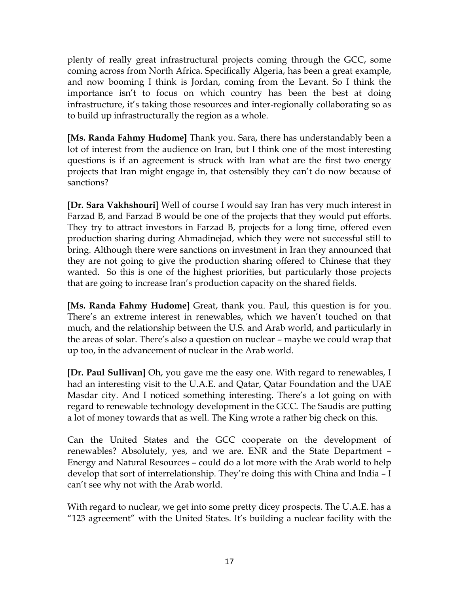plenty of really great infrastructural projects coming through the GCC, some coming across from North Africa. Specifically Algeria, has been a great example, and now booming I think is Jordan, coming from the Levant. So I think the importance isn't to focus on which country has been the best at doing infrastructure, it's taking those resources and inter-regionally collaborating so as to build up infrastructurally the region as a whole.

**[Ms. Randa Fahmy Hudome]** Thank you. Sara, there has understandably been a lot of interest from the audience on Iran, but I think one of the most interesting questions is if an agreement is struck with Iran what are the first two energy projects that Iran might engage in, that ostensibly they can't do now because of sanctions?

**[Dr. Sara Vakhshouri]** Well of course I would say Iran has very much interest in Farzad B, and Farzad B would be one of the projects that they would put efforts. They try to attract investors in Farzad B, projects for a long time, offered even production sharing during Ahmadinejad, which they were not successful still to bring. Although there were sanctions on investment in Iran they announced that they are not going to give the production sharing offered to Chinese that they wanted. So this is one of the highest priorities, but particularly those projects that are going to increase Iran's production capacity on the shared fields.

**[Ms. Randa Fahmy Hudome]** Great, thank you. Paul, this question is for you. There's an extreme interest in renewables, which we haven't touched on that much, and the relationship between the U.S. and Arab world, and particularly in the areas of solar. There's also a question on nuclear – maybe we could wrap that up too, in the advancement of nuclear in the Arab world.

**[Dr. Paul Sullivan]** Oh, you gave me the easy one. With regard to renewables, I had an interesting visit to the U.A.E. and Qatar, Qatar Foundation and the UAE Masdar city. And I noticed something interesting. There's a lot going on with regard to renewable technology development in the GCC. The Saudis are putting a lot of money towards that as well. The King wrote a rather big check on this.

Can the United States and the GCC cooperate on the development of renewables? Absolutely, yes, and we are. ENR and the State Department – Energy and Natural Resources – could do a lot more with the Arab world to help develop that sort of interrelationship. They're doing this with China and India – I can't see why not with the Arab world.

With regard to nuclear, we get into some pretty dicey prospects. The U.A.E. has a "123 agreement" with the United States. It's building a nuclear facility with the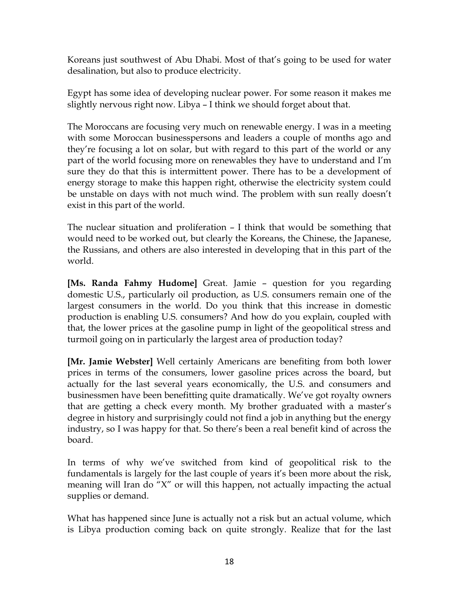Koreans just southwest of Abu Dhabi. Most of that's going to be used for water desalination, but also to produce electricity.

Egypt has some idea of developing nuclear power. For some reason it makes me slightly nervous right now. Libya – I think we should forget about that.

The Moroccans are focusing very much on renewable energy. I was in a meeting with some Moroccan businesspersons and leaders a couple of months ago and they're focusing a lot on solar, but with regard to this part of the world or any part of the world focusing more on renewables they have to understand and I'm sure they do that this is intermittent power. There has to be a development of energy storage to make this happen right, otherwise the electricity system could be unstable on days with not much wind. The problem with sun really doesn't exist in this part of the world.

The nuclear situation and proliferation – I think that would be something that would need to be worked out, but clearly the Koreans, the Chinese, the Japanese, the Russians, and others are also interested in developing that in this part of the world.

**[Ms. Randa Fahmy Hudome]** Great. Jamie – question for you regarding domestic U.S., particularly oil production, as U.S. consumers remain one of the largest consumers in the world. Do you think that this increase in domestic production is enabling U.S. consumers? And how do you explain, coupled with that, the lower prices at the gasoline pump in light of the geopolitical stress and turmoil going on in particularly the largest area of production today?

**[Mr. Jamie Webster]** Well certainly Americans are benefiting from both lower prices in terms of the consumers, lower gasoline prices across the board, but actually for the last several years economically, the U.S. and consumers and businessmen have been benefitting quite dramatically. We've got royalty owners that are getting a check every month. My brother graduated with a master's degree in history and surprisingly could not find a job in anything but the energy industry, so I was happy for that. So there's been a real benefit kind of across the board.

In terms of why we've switched from kind of geopolitical risk to the fundamentals is largely for the last couple of years it's been more about the risk, meaning will Iran do "X" or will this happen, not actually impacting the actual supplies or demand.

What has happened since June is actually not a risk but an actual volume, which is Libya production coming back on quite strongly. Realize that for the last